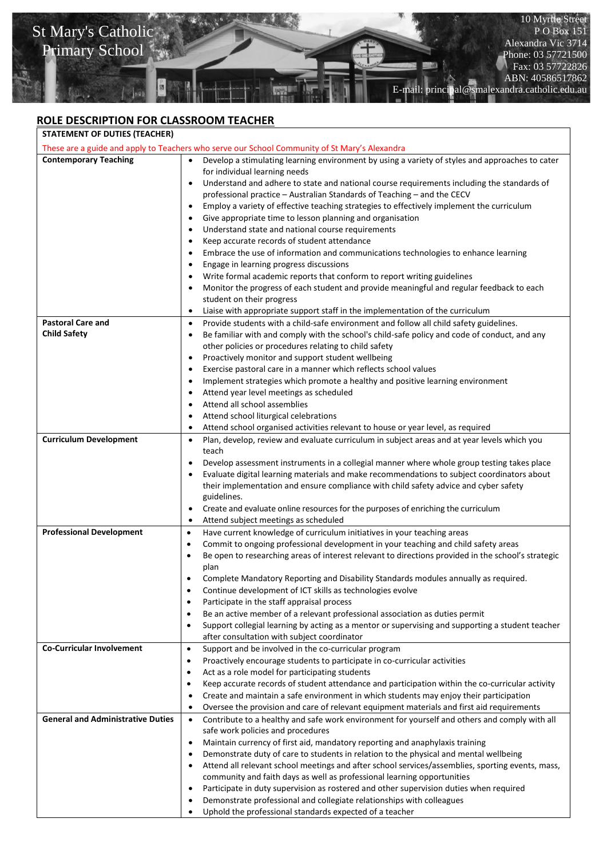

## **ROLE DESCRIPTION FOR CLASSROOM TEACHER**

| <b>STATEMENT OF DUTIES (TEACHER)</b>                                                          |                                                                                                                                                                                    |  |
|-----------------------------------------------------------------------------------------------|------------------------------------------------------------------------------------------------------------------------------------------------------------------------------------|--|
| These are a guide and apply to Teachers who serve our School Community of St Mary's Alexandra |                                                                                                                                                                                    |  |
| <b>Contemporary Teaching</b>                                                                  | Develop a stimulating learning environment by using a variety of styles and approaches to cater<br>$\bullet$<br>for individual learning needs                                      |  |
|                                                                                               | Understand and adhere to state and national course requirements including the standards of<br>٠                                                                                    |  |
|                                                                                               | professional practice - Australian Standards of Teaching - and the CECV                                                                                                            |  |
|                                                                                               | Employ a variety of effective teaching strategies to effectively implement the curriculum<br>٠                                                                                     |  |
|                                                                                               | Give appropriate time to lesson planning and organisation<br>$\bullet$                                                                                                             |  |
|                                                                                               | Understand state and national course requirements<br>$\bullet$                                                                                                                     |  |
|                                                                                               | Keep accurate records of student attendance<br>$\bullet$                                                                                                                           |  |
|                                                                                               | Embrace the use of information and communications technologies to enhance learning<br>$\bullet$                                                                                    |  |
|                                                                                               | Engage in learning progress discussions<br>$\bullet$                                                                                                                               |  |
|                                                                                               | Write formal academic reports that conform to report writing guidelines<br>$\bullet$                                                                                               |  |
|                                                                                               | Monitor the progress of each student and provide meaningful and regular feedback to each<br>$\bullet$                                                                              |  |
|                                                                                               | student on their progress                                                                                                                                                          |  |
|                                                                                               | Liaise with appropriate support staff in the implementation of the curriculum<br>$\bullet$                                                                                         |  |
| <b>Pastoral Care and</b>                                                                      | Provide students with a child-safe environment and follow all child safety guidelines.<br>$\bullet$                                                                                |  |
| <b>Child Safety</b>                                                                           | Be familiar with and comply with the school's child-safe policy and code of conduct, and any<br>٠                                                                                  |  |
|                                                                                               | other policies or procedures relating to child safety                                                                                                                              |  |
|                                                                                               | Proactively monitor and support student wellbeing<br>٠                                                                                                                             |  |
|                                                                                               | Exercise pastoral care in a manner which reflects school values<br>$\bullet$                                                                                                       |  |
|                                                                                               | Implement strategies which promote a healthy and positive learning environment<br>$\bullet$                                                                                        |  |
|                                                                                               | Attend year level meetings as scheduled<br>$\bullet$                                                                                                                               |  |
|                                                                                               | Attend all school assemblies<br>$\bullet$                                                                                                                                          |  |
|                                                                                               | Attend school liturgical celebrations                                                                                                                                              |  |
|                                                                                               | Attend school organised activities relevant to house or year level, as required<br>٠                                                                                               |  |
| <b>Curriculum Development</b>                                                                 | Plan, develop, review and evaluate curriculum in subject areas and at year levels which you<br>$\bullet$                                                                           |  |
|                                                                                               | teach                                                                                                                                                                              |  |
|                                                                                               | Develop assessment instruments in a collegial manner where whole group testing takes place<br>$\bullet$                                                                            |  |
|                                                                                               | Evaluate digital learning materials and make recommendations to subject coordinators about<br>their implementation and ensure compliance with child safety advice and cyber safety |  |
|                                                                                               | guidelines.                                                                                                                                                                        |  |
|                                                                                               | Create and evaluate online resources for the purposes of enriching the curriculum<br>$\bullet$                                                                                     |  |
|                                                                                               | Attend subject meetings as scheduled<br>$\bullet$                                                                                                                                  |  |
| <b>Professional Development</b>                                                               | Have current knowledge of curriculum initiatives in your teaching areas<br>$\bullet$                                                                                               |  |
|                                                                                               | Commit to ongoing professional development in your teaching and child safety areas<br>$\bullet$                                                                                    |  |
|                                                                                               | Be open to researching areas of interest relevant to directions provided in the school's strategic<br>$\bullet$                                                                    |  |
|                                                                                               | plan                                                                                                                                                                               |  |
|                                                                                               | Complete Mandatory Reporting and Disability Standards modules annually as required.<br>$\bullet$                                                                                   |  |
|                                                                                               | Continue development of ICT skills as technologies evolve<br>$\bullet$                                                                                                             |  |
|                                                                                               | Participate in the staff appraisal process<br>٠                                                                                                                                    |  |
|                                                                                               | Be an active member of a relevant professional association as duties permit<br>$\bullet$                                                                                           |  |
|                                                                                               | Support collegial learning by acting as a mentor or supervising and supporting a student teacher<br>$\bullet$                                                                      |  |
|                                                                                               | after consultation with subject coordinator                                                                                                                                        |  |
| <b>Co-Curricular Involvement</b>                                                              | Support and be involved in the co-curricular program<br>$\bullet$                                                                                                                  |  |
|                                                                                               | Proactively encourage students to participate in co-curricular activities<br>$\bullet$                                                                                             |  |
|                                                                                               | Act as a role model for participating students<br>$\bullet$                                                                                                                        |  |
|                                                                                               | Keep accurate records of student attendance and participation within the co-curricular activity<br>$\bullet$                                                                       |  |
|                                                                                               | Create and maintain a safe environment in which students may enjoy their participation<br>٠                                                                                        |  |
|                                                                                               | Oversee the provision and care of relevant equipment materials and first aid requirements<br>$\bullet$                                                                             |  |
| <b>General and Administrative Duties</b>                                                      | Contribute to a healthy and safe work environment for yourself and others and comply with all<br>$\bullet$                                                                         |  |
|                                                                                               | safe work policies and procedures                                                                                                                                                  |  |
|                                                                                               | Maintain currency of first aid, mandatory reporting and anaphylaxis training<br>$\bullet$                                                                                          |  |
|                                                                                               | Demonstrate duty of care to students in relation to the physical and mental wellbeing<br>$\bullet$                                                                                 |  |
|                                                                                               | Attend all relevant school meetings and after school services/assemblies, sporting events, mass,<br>$\bullet$                                                                      |  |
|                                                                                               | community and faith days as well as professional learning opportunities                                                                                                            |  |
|                                                                                               | Participate in duty supervision as rostered and other supervision duties when required<br>٠                                                                                        |  |
|                                                                                               | Demonstrate professional and collegiate relationships with colleagues<br>٠<br>Uphold the professional standards expected of a teacher                                              |  |
|                                                                                               |                                                                                                                                                                                    |  |